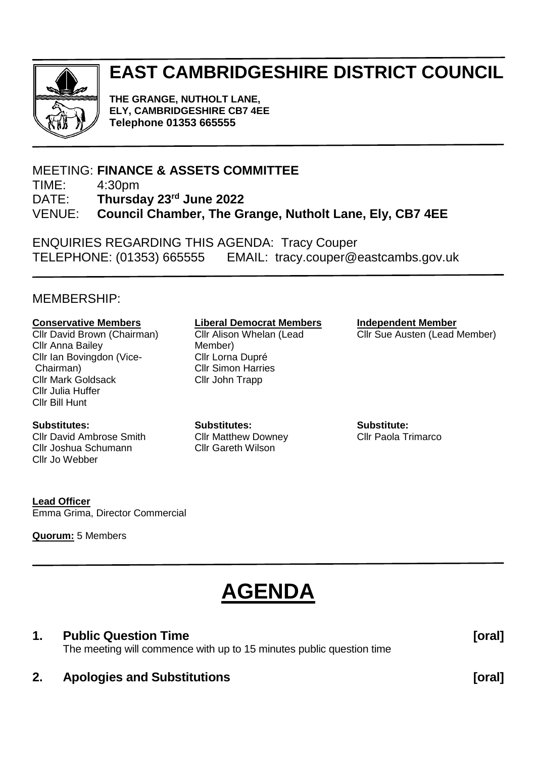

# **EAST CAMBRIDGESHIRE DISTRICT COUNCIL**

**THE GRANGE, NUTHOLT LANE, ELY, CAMBRIDGESHIRE CB7 4EE Telephone 01353 665555**

## MEETING: **FINANCE & ASSETS COMMITTEE**

TIME: 4:30pm

DATE: **Thursday 23 rd June 2022**

VENUE: **Council Chamber, The Grange, Nutholt Lane, Ely, CB7 4EE**

ENQUIRIES REGARDING THIS AGENDA: Tracy Couper TELEPHONE: (01353) 665555 EMAIL: tracy.couper@eastcambs.gov.uk

#### MEMBERSHIP:

#### **Conservative Members**

Cllr David Brown (Chairman) Cllr Anna Bailey Cllr Ian Bovingdon (Vice-Chairman) Cllr Mark Goldsack Cllr Julia Huffer Cllr Bill Hunt

#### **Substitutes:**

Cllr David Ambrose Smith Cllr Joshua Schumann Cllr Jo Webber

#### **Liberal Democrat Members**

Cllr Alison Whelan (Lead Member) Cllr Lorna Dupré Cllr Simon Harries Cllr John Trapp

**Substitutes:** Cllr Matthew Downey Cllr Gareth Wilson

**Independent Member** Cllr Sue Austen (Lead Member)

**Substitute:** Cllr Paola Trimarco

**Lead Officer** Emma Grima, Director Commercial

**Quorum:** 5 Members

# **AGENDA**

#### **1. Public Question Time [oral]**

The meeting will commence with up to 15 minutes public question time

#### **2. Apologies and Substitutions [oral]**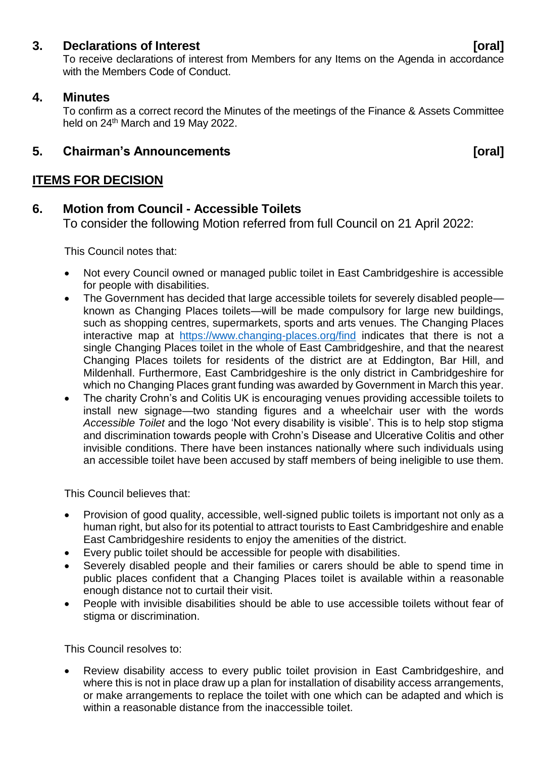#### **3. Declarations of Interest [oral]**

To receive declarations of interest from Members for any Items on the Agenda in accordance with the Members Code of Conduct.

#### **4. Minutes**

To confirm as a correct record the Minutes of the meetings of the Finance & Assets Committee held on 24<sup>th</sup> March and 19 May 2022.

## **5. Chairman's Announcements [oral]**

## **ITEMS FOR DECISION**

#### **6. Motion from Council - Accessible Toilets**

To consider the following Motion referred from full Council on 21 April 2022:

This Council notes that:

- Not every Council owned or managed public toilet in East Cambridgeshire is accessible for people with disabilities.
- The Government has decided that large accessible toilets for severely disabled people known as Changing Places toilets—will be made compulsory for large new buildings, such as shopping centres, supermarkets, sports and arts venues. The Changing Places interactive map at <https://www.changing-places.org/find> indicates that there is not a single Changing Places toilet in the whole of East Cambridgeshire, and that the nearest Changing Places toilets for residents of the district are at Eddington, Bar Hill, and Mildenhall. Furthermore, East Cambridgeshire is the only district in Cambridgeshire for which no Changing Places grant funding was awarded by Government in March this year.
- The charity Crohn's and Colitis UK is encouraging venues providing accessible toilets to install new signage—two standing figures and a wheelchair user with the words *Accessible Toilet* and the logo 'Not every disability is visible'. This is to help stop stigma and discrimination towards people with Crohn's Disease and Ulcerative Colitis and other invisible conditions. There have been instances nationally where such individuals using an accessible toilet have been accused by staff members of being ineligible to use them.

This Council believes that:

- Provision of good quality, accessible, well-signed public toilets is important not only as a human right, but also for its potential to attract tourists to East Cambridgeshire and enable East Cambridgeshire residents to enjoy the amenities of the district.
- Every public toilet should be accessible for people with disabilities.
- Severely disabled people and their families or carers should be able to spend time in public places confident that a Changing Places toilet is available within a reasonable enough distance not to curtail their visit.
- People with invisible disabilities should be able to use accessible toilets without fear of stigma or discrimination.

This Council resolves to:

• Review disability access to every public toilet provision in East Cambridgeshire, and where this is not in place draw up a plan for installation of disability access arrangements, or make arrangements to replace the toilet with one which can be adapted and which is within a reasonable distance from the inaccessible toilet.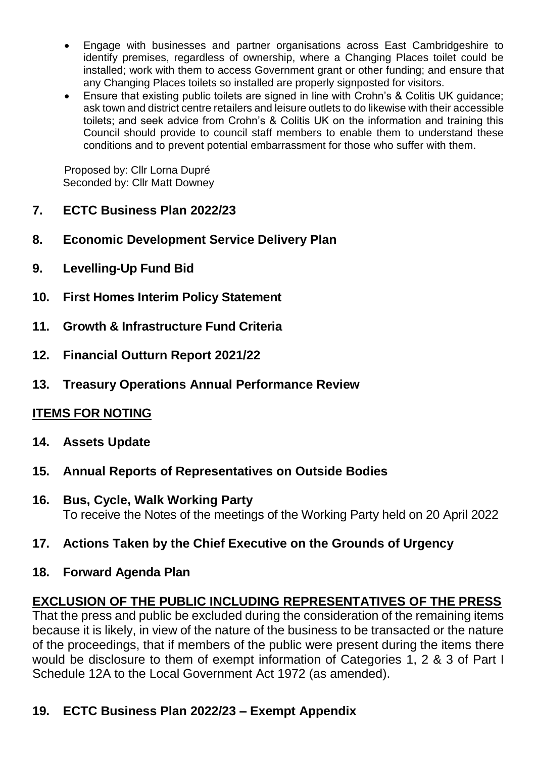- Engage with businesses and partner organisations across East Cambridgeshire to identify premises, regardless of ownership, where a Changing Places toilet could be installed; work with them to access Government grant or other funding; and ensure that any Changing Places toilets so installed are properly signposted for visitors.
- Ensure that existing public toilets are signed in line with Crohn's & Colitis UK guidance; ask town and district centre retailers and leisure outlets to do likewise with their accessible toilets; and seek advice from Crohn's & Colitis UK on the information and training this Council should provide to council staff members to enable them to understand these conditions and to prevent potential embarrassment for those who suffer with them.

Proposed by: Cllr Lorna Dupré Seconded by: Cllr Matt Downey

- **7. ECTC Business Plan 2022/23**
- **8. Economic Development Service Delivery Plan**
- **9. Levelling-Up Fund Bid**
- **10. First Homes Interim Policy Statement**
- **11. Growth & Infrastructure Fund Criteria**
- **12. Financial Outturn Report 2021/22**
- **13. Treasury Operations Annual Performance Review**

# **ITEMS FOR NOTING**

- **14. Assets Update**
- **15. Annual Reports of Representatives on Outside Bodies**
- **16. Bus, Cycle, Walk Working Party** To receive the Notes of the meetings of the Working Party held on 20 April 2022
- **17. Actions Taken by the Chief Executive on the Grounds of Urgency**
- **18. Forward Agenda Plan**

# **EXCLUSION OF THE PUBLIC INCLUDING REPRESENTATIVES OF THE PRESS**

That the press and public be excluded during the consideration of the remaining items because it is likely, in view of the nature of the business to be transacted or the nature of the proceedings, that if members of the public were present during the items there would be disclosure to them of exempt information of Categories 1, 2 & 3 of Part I Schedule 12A to the Local Government Act 1972 (as amended).

# **19. ECTC Business Plan 2022/23 – Exempt Appendix**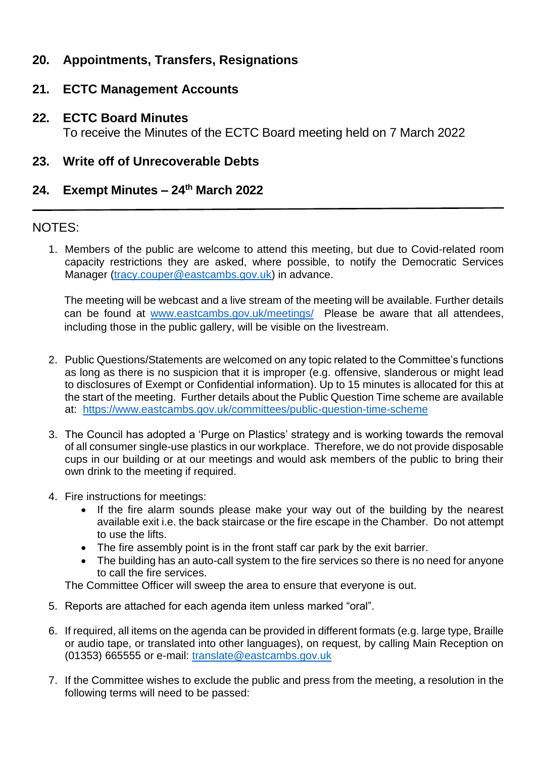# **20. Appointments, Transfers, Resignations**

### **21. ECTC Management Accounts**

**22. ECTC Board Minutes** To receive the Minutes of the ECTC Board meeting held on 7 March 2022

#### **23. Write off of Unrecoverable Debts**

## **24. Exempt Minutes – 24th March 2022**

#### NOTES:

1. Members of the public are welcome to attend this meeting, but due to Covid-related room capacity restrictions they are asked, where possible, to notify the Democratic Services Manager [\(tracy.couper@eastcambs.gov.uk\)](mailto:tracy.couper@eastcambs.gov.uk) in advance.

The meeting will be webcast and a live stream of the meeting will be available. Further details can be found at [www.eastcambs.gov.uk/meetings/](http://www.eastcambs.gov.uk/meetings/) Please be aware that all attendees, including those in the public gallery, will be visible on the livestream.

- 2. Public Questions/Statements are welcomed on any topic related to the Committee's functions as long as there is no suspicion that it is improper (e.g. offensive, slanderous or might lead to disclosures of Exempt or Confidential information). Up to 15 minutes is allocated for this at the start of the meeting. Further details about the Public Question Time scheme are available at: <https://www.eastcambs.gov.uk/committees/public-question-time-scheme>
- 3. The Council has adopted a 'Purge on Plastics' strategy and is working towards the removal of all consumer single-use plastics in our workplace. Therefore, we do not provide disposable cups in our building or at our meetings and would ask members of the public to bring their own drink to the meeting if required.
- 4. Fire instructions for meetings:
	- If the fire alarm sounds please make your way out of the building by the nearest available exit i.e. the back staircase or the fire escape in the Chamber. Do not attempt to use the lifts.
	- The fire assembly point is in the front staff car park by the exit barrier.
	- The building has an auto-call system to the fire services so there is no need for anyone to call the fire services.

The Committee Officer will sweep the area to ensure that everyone is out.

- 5. Reports are attached for each agenda item unless marked "oral".
- 6. If required, all items on the agenda can be provided in different formats (e.g. large type, Braille or audio tape, or translated into other languages), on request, by calling Main Reception on (01353) 665555 or e-mail: [translate@eastcambs.gov.uk](mailto:translate@eastcambs.gov.uk)
- 7. If the Committee wishes to exclude the public and press from the meeting, a resolution in the following terms will need to be passed: